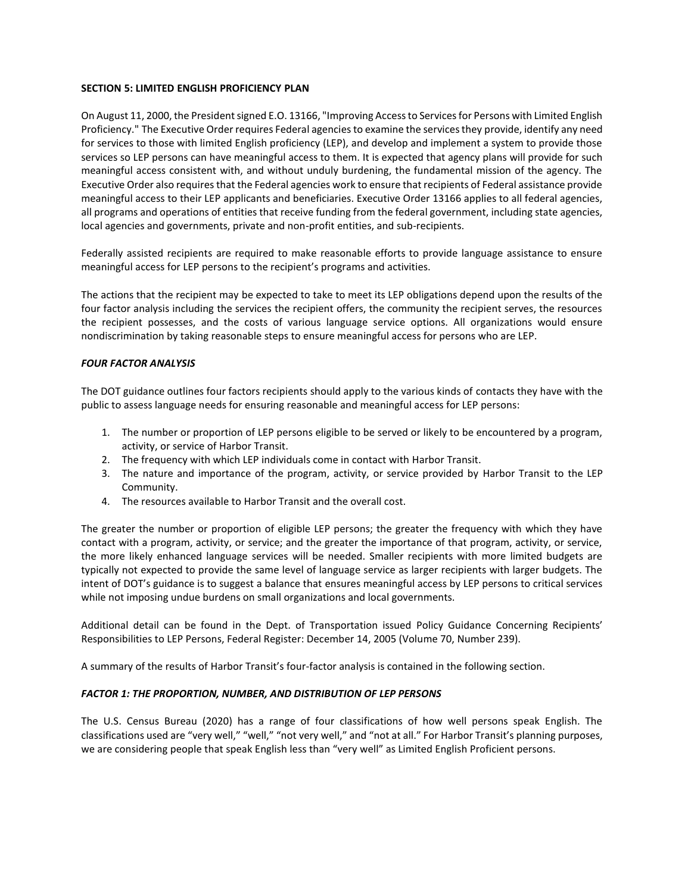### **SECTION 5: LIMITED ENGLISH PROFICIENCY PLAN**

On August 11, 2000, the President signed E.O. 13166, "Improving Access to Services for Persons with Limited English Proficiency." The Executive Order requires Federal agencies to examine the services they provide, identify any need for services to those with limited English proficiency (LEP), and develop and implement a system to provide those services so LEP persons can have meaningful access to them. It is expected that agency plans will provide for such meaningful access consistent with, and without unduly burdening, the fundamental mission of the agency. The Executive Order also requires that the Federal agencies work to ensure that recipients of Federal assistance provide meaningful access to their LEP applicants and beneficiaries. Executive Order 13166 applies to all federal agencies, all programs and operations of entities that receive funding from the federal government, including state agencies, local agencies and governments, private and non-profit entities, and sub-recipients.

Federally assisted recipients are required to make reasonable efforts to provide language assistance to ensure meaningful access for LEP persons to the recipient's programs and activities.

The actions that the recipient may be expected to take to meet its LEP obligations depend upon the results of the four factor analysis including the services the recipient offers, the community the recipient serves, the resources the recipient possesses, and the costs of various language service options. All organizations would ensure nondiscrimination by taking reasonable steps to ensure meaningful access for persons who are LEP.

### *FOUR FACTOR ANALYSIS*

The DOT guidance outlines four factors recipients should apply to the various kinds of contacts they have with the public to assess language needs for ensuring reasonable and meaningful access for LEP persons:

- 1. The number or proportion of LEP persons eligible to be served or likely to be encountered by a program, activity, or service of Harbor Transit.
- 2. The frequency with which LEP individuals come in contact with Harbor Transit.
- 3. The nature and importance of the program, activity, or service provided by Harbor Transit to the LEP Community.
- 4. The resources available to Harbor Transit and the overall cost.

The greater the number or proportion of eligible LEP persons; the greater the frequency with which they have contact with a program, activity, or service; and the greater the importance of that program, activity, or service, the more likely enhanced language services will be needed. Smaller recipients with more limited budgets are typically not expected to provide the same level of language service as larger recipients with larger budgets. The intent of DOT's guidance is to suggest a balance that ensures meaningful access by LEP persons to critical services while not imposing undue burdens on small organizations and local governments.

Additional detail can be found in the Dept. of Transportation issued Policy Guidance Concerning Recipients' Responsibilities to LEP Persons, Federal Register: December 14, 2005 (Volume 70, Number 239).

A summary of the results of Harbor Transit's four-factor analysis is contained in the following section.

# *FACTOR 1: THE PROPORTION, NUMBER, AND DISTRIBUTION OF LEP PERSONS*

The U.S. Census Bureau (2020) has a range of four classifications of how well persons speak English. The classifications used are "very well," "well," "not very well," and "not at all." For Harbor Transit's planning purposes, we are considering people that speak English less than "very well" as Limited English Proficient persons.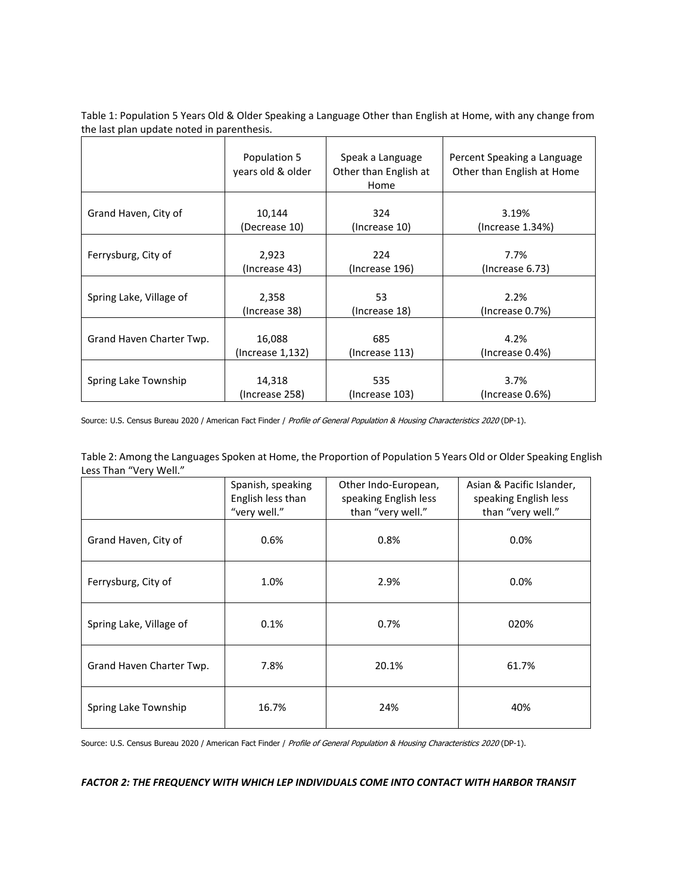Table 1: Population 5 Years Old & Older Speaking a Language Other than English at Home, with any change from the last plan update noted in parenthesis.

|                          | Population 5<br>years old & older | Speak a Language<br>Other than English at<br>Home | Percent Speaking a Language<br>Other than English at Home |  |
|--------------------------|-----------------------------------|---------------------------------------------------|-----------------------------------------------------------|--|
| Grand Haven, City of     | 10,144                            | 324                                               | 3.19%                                                     |  |
|                          | (Decrease 10)                     | (Increase 10)                                     | (Increase 1.34%)                                          |  |
| Ferrysburg, City of      | 2,923                             | 224                                               | 7.7%                                                      |  |
|                          | (Increase 43)                     | (Increase 196)                                    | (Increase 6.73)                                           |  |
| Spring Lake, Village of  | 2,358                             | 53                                                | 2.2%                                                      |  |
|                          | (Increase 38)                     | (Increase 18)                                     | (Increase 0.7%)                                           |  |
| Grand Haven Charter Twp. | 16,088                            | 685                                               | 4.2%                                                      |  |
|                          | (Increase 1,132)                  | (Increase 113)                                    | (Increase 0.4%)                                           |  |
| Spring Lake Township     | 14,318                            | 535                                               | 3.7%                                                      |  |
|                          | (Increase 258)                    | (Increase 103)                                    | (Increase 0.6%)                                           |  |

Source: U.S. Census Bureau 2020 / American Fact Finder / Profile of General Population & Housing Characteristics 2020 (DP-1).

Table 2: Among the Languages Spoken at Home, the Proportion of Population 5 Years Old or Older Speaking English Less Than "Very Well."

|                          | Spanish, speaking<br>English less than<br>"very well." | Other Indo-European,<br>speaking English less<br>than "very well." | Asian & Pacific Islander,<br>speaking English less<br>than "very well." |  |
|--------------------------|--------------------------------------------------------|--------------------------------------------------------------------|-------------------------------------------------------------------------|--|
| Grand Haven, City of     | 0.6%                                                   | 0.8%                                                               | $0.0\%$                                                                 |  |
| Ferrysburg, City of      | 1.0%                                                   | 2.9%                                                               | $0.0\%$                                                                 |  |
| Spring Lake, Village of  | 0.1%                                                   | 0.7%                                                               | 020%                                                                    |  |
| Grand Haven Charter Twp. | 7.8%                                                   | 20.1%                                                              | 61.7%                                                                   |  |
| Spring Lake Township     | 16.7%                                                  | 24%                                                                | 40%                                                                     |  |

Source: U.S. Census Bureau 2020 / American Fact Finder / Profile of General Population & Housing Characteristics 2020 (DP-1).

*FACTOR 2: THE FREQUENCY WITH WHICH LEP INDIVIDUALS COME INTO CONTACT WITH HARBOR TRANSIT*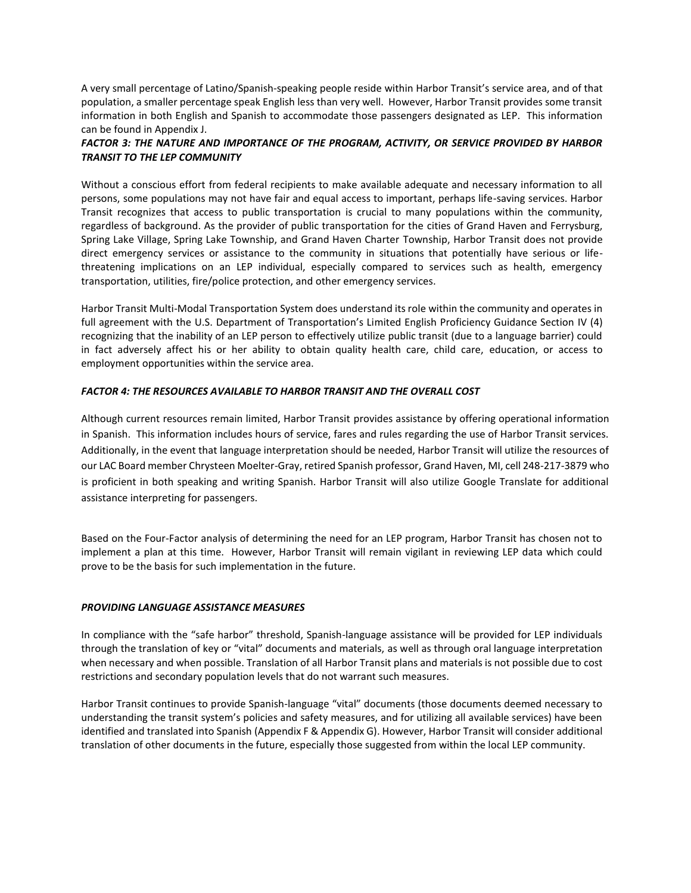A very small percentage of Latino/Spanish-speaking people reside within Harbor Transit's service area, and of that population, a smaller percentage speak English less than very well. However, Harbor Transit provides some transit information in both English and Spanish to accommodate those passengers designated as LEP. This information can be found in Appendix J.

# *FACTOR 3: THE NATURE AND IMPORTANCE OF THE PROGRAM, ACTIVITY, OR SERVICE PROVIDED BY HARBOR TRANSIT TO THE LEP COMMUNITY*

Without a conscious effort from federal recipients to make available adequate and necessary information to all persons, some populations may not have fair and equal access to important, perhaps life-saving services. Harbor Transit recognizes that access to public transportation is crucial to many populations within the community, regardless of background. As the provider of public transportation for the cities of Grand Haven and Ferrysburg, Spring Lake Village, Spring Lake Township, and Grand Haven Charter Township, Harbor Transit does not provide direct emergency services or assistance to the community in situations that potentially have serious or lifethreatening implications on an LEP individual, especially compared to services such as health, emergency transportation, utilities, fire/police protection, and other emergency services.

Harbor Transit Multi-Modal Transportation System does understand its role within the community and operates in full agreement with the U.S. Department of Transportation's Limited English Proficiency Guidance Section IV (4) recognizing that the inability of an LEP person to effectively utilize public transit (due to a language barrier) could in fact adversely affect his or her ability to obtain quality health care, child care, education, or access to employment opportunities within the service area.

# *FACTOR 4: THE RESOURCES AVAILABLE TO HARBOR TRANSIT AND THE OVERALL COST*

Although current resources remain limited, Harbor Transit provides assistance by offering operational information in Spanish. This information includes hours of service, fares and rules regarding the use of Harbor Transit services. Additionally, in the event that language interpretation should be needed, Harbor Transit will utilize the resources of our LAC Board member Chrysteen Moelter-Gray, retired Spanish professor, Grand Haven, MI, cell 248-217-3879 who is proficient in both speaking and writing Spanish. Harbor Transit will also utilize Google Translate for additional assistance interpreting for passengers.

Based on the Four-Factor analysis of determining the need for an LEP program, Harbor Transit has chosen not to implement a plan at this time. However, Harbor Transit will remain vigilant in reviewing LEP data which could prove to be the basis for such implementation in the future.

#### *PROVIDING LANGUAGE ASSISTANCE MEASURES*

In compliance with the "safe harbor" threshold, Spanish-language assistance will be provided for LEP individuals through the translation of key or "vital" documents and materials, as well as through oral language interpretation when necessary and when possible. Translation of all Harbor Transit plans and materials is not possible due to cost restrictions and secondary population levels that do not warrant such measures.

Harbor Transit continues to provide Spanish-language "vital" documents (those documents deemed necessary to understanding the transit system's policies and safety measures, and for utilizing all available services) have been identified and translated into Spanish (Appendix F & Appendix G). However, Harbor Transit will consider additional translation of other documents in the future, especially those suggested from within the local LEP community.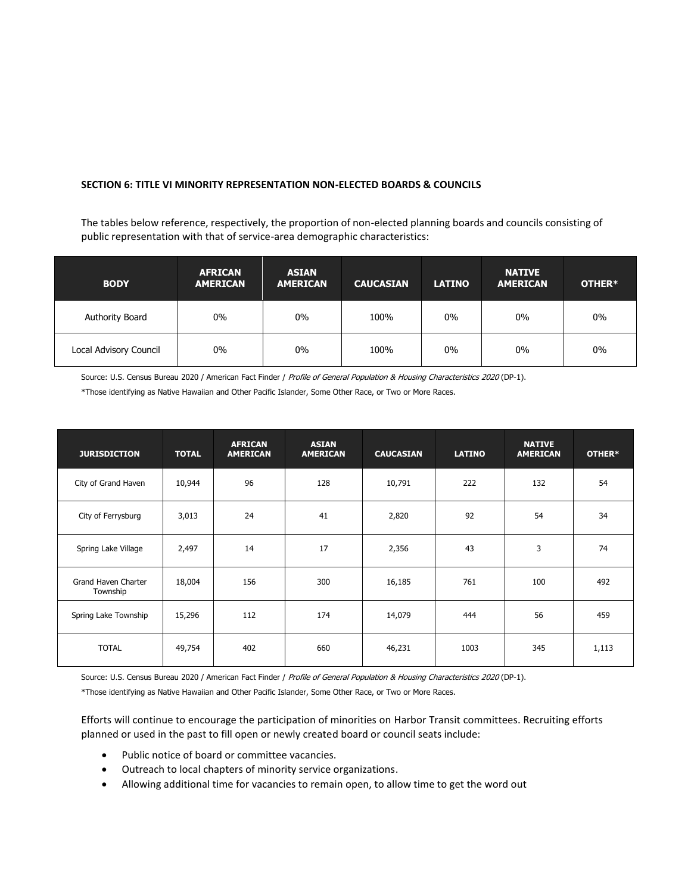### **SECTION 6: TITLE VI MINORITY REPRESENTATION NON-ELECTED BOARDS & COUNCILS**

The tables below reference, respectively, the proportion of non-elected planning boards and councils consisting of public representation with that of service-area demographic characteristics:

| <b>BODY</b>            | <b>AFRICAN</b><br><b>AMERICAN</b> | <b>ASIAN</b><br><b>AMERICAN</b> | <b>CAUCASIAN</b> | <b>LATINO</b> | <b>NATIVE</b><br><b>AMERICAN</b> | OTHER* |
|------------------------|-----------------------------------|---------------------------------|------------------|---------------|----------------------------------|--------|
| Authority Board        | $0\%$                             | $0\%$                           | 100%             | $0\%$         | $0\%$                            | 0%     |
| Local Advisory Council | $0\%$                             | $0\%$                           | 100%             | 0%            | $0\%$                            | 0%     |

Source: U.S. Census Bureau 2020 / American Fact Finder / Profile of General Population & Housing Characteristics 2020 (DP-1).

\*Those identifying as Native Hawaiian and Other Pacific Islander, Some Other Race, or Two or More Races.

| <b>JURISDICTION</b>             | <b>TOTAL</b> | <b>AFRICAN</b><br><b>AMERICAN</b> | <b>ASIAN</b><br><b>AMERICAN</b> | <b>CAUCASIAN</b> | <b>LATINO</b> | <b>NATIVE</b><br><b>AMERICAN</b> | OTHER* |
|---------------------------------|--------------|-----------------------------------|---------------------------------|------------------|---------------|----------------------------------|--------|
| City of Grand Haven             | 10,944       | 96                                | 128                             | 10,791           | 222           | 132                              | 54     |
| City of Ferrysburg              | 3,013        | 24                                | 41                              | 2,820            | 92            | 54                               | 34     |
| Spring Lake Village             | 2,497        | 14                                | 17                              | 2,356            | 43            | 3                                | 74     |
| Grand Haven Charter<br>Township | 18,004       | 156                               | 300                             | 16,185           | 761           | 100                              | 492    |
| Spring Lake Township            | 15,296       | 112                               | 174                             | 14,079           | 444           | 56                               | 459    |
| <b>TOTAL</b>                    | 49,754       | 402                               | 660                             | 46,231           | 1003          | 345                              | 1,113  |

Source: U.S. Census Bureau 2020 / American Fact Finder / Profile of General Population & Housing Characteristics 2020 (DP-1).

\*Those identifying as Native Hawaiian and Other Pacific Islander, Some Other Race, or Two or More Races.

Efforts will continue to encourage the participation of minorities on Harbor Transit committees. Recruiting efforts planned or used in the past to fill open or newly created board or council seats include:

- Public notice of board or committee vacancies.
- Outreach to local chapters of minority service organizations.
- Allowing additional time for vacancies to remain open, to allow time to get the word out